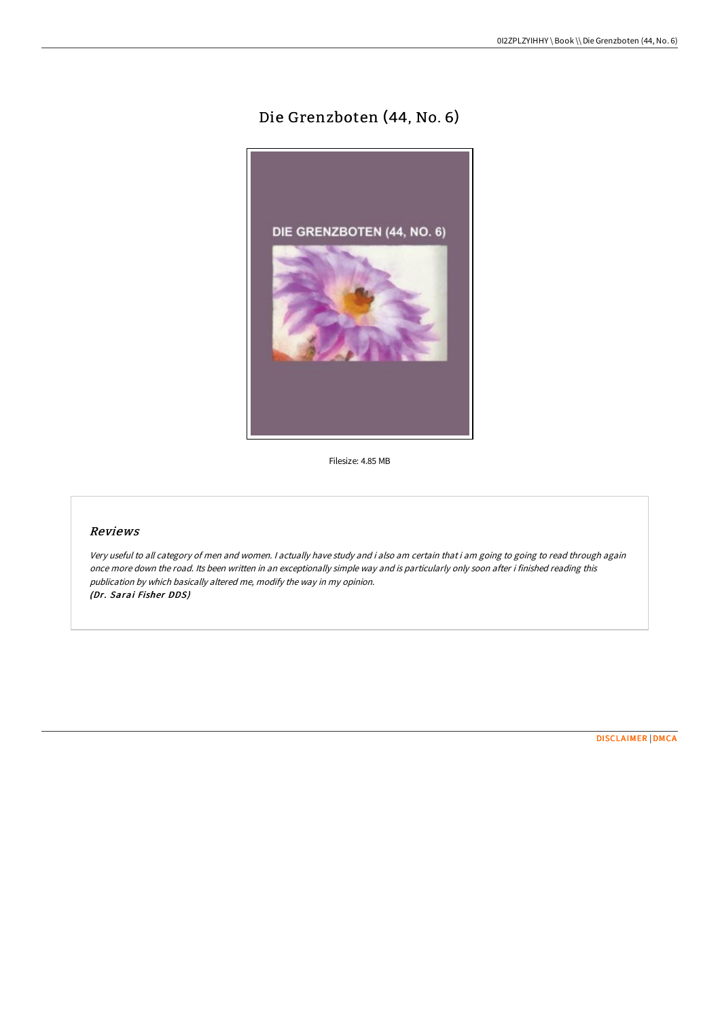## Die Grenzboten (44, No. 6)



Filesize: 4.85 MB

## Reviews

Very useful to all category of men and women. <sup>I</sup> actually have study and i also am certain that i am going to going to read through again once more down the road. Its been written in an exceptionally simple way and is particularly only soon after i finished reading this publication by which basically altered me, modify the way in my opinion. (Dr. Sarai Fisher DDS)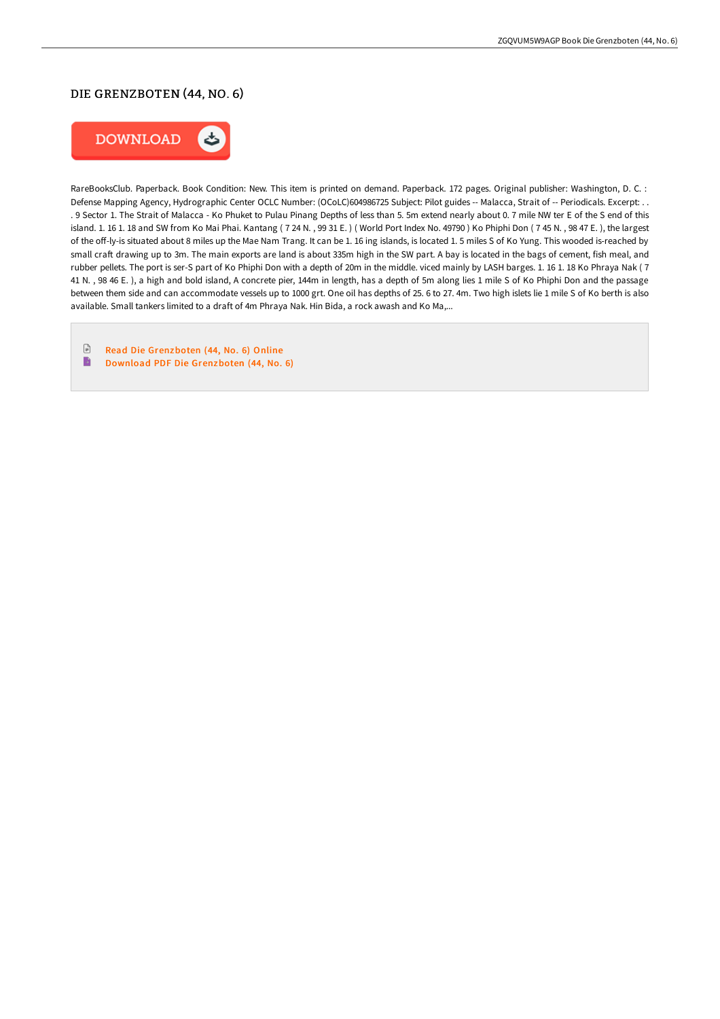## DIE GRENZBOTEN (44, NO. 6)



RareBooksClub. Paperback. Book Condition: New. This item is printed on demand. Paperback. 172 pages. Original publisher: Washington, D. C. : Defense Mapping Agency, Hydrographic Center OCLC Number: (OCoLC)604986725 Subject: Pilot guides -- Malacca, Strait of -- Periodicals. Excerpt: . . . 9 Sector 1. The Strait of Malacca - Ko Phuket to Pulau Pinang Depths of less than 5. 5m extend nearly about 0. 7 mile NW ter E of the S end of this island. 1. 16 1. 18 and SW from Ko Mai Phai. Kantang (724 N., 99 31 E.) (World Port Index No. 49790) Ko Phiphi Don (745 N., 98 47 E.), the largest of the off-ly-is situated about 8 miles up the Mae Nam Trang. It can be 1. 16 ing islands, is located 1.5 miles S of Ko Yung. This wooded is-reached by small craF drawing up to 3m. The main exports are land is about 335m high in the SW part. A bay is located in the bags of cement, fish meal, and rubber pellets. The port is ser-S part of Ko Phiphi Don with a depth of 20m in the middle. viced mainly by LASH barges. 1. 16 1. 18 Ko Phraya Nak ( 7 41 N. , 98 46 E. ), a high and bold island, A concrete pier, 144m in length, has a depth of 5m along lies 1 mile S of Ko Phiphi Don and the passage between them side and can accommodate vessels up to 1000 grt. One oil has depths of 25. 6 to 27. 4m. Two high islets lie 1 mile S of Ko berth is also available. Small tankers limited to a draft of 4m Phraya Nak. Hin Bida, a rock awash and Ko Ma,...

 $\ensuremath{\mathop\square}\xspace$ Read Die [Grenzboten](http://techno-pub.tech/die-grenzboten-44-no-6.html) (44, No. 6) Online B Download PDF Die [Grenzboten](http://techno-pub.tech/die-grenzboten-44-no-6.html) (44, No. 6)